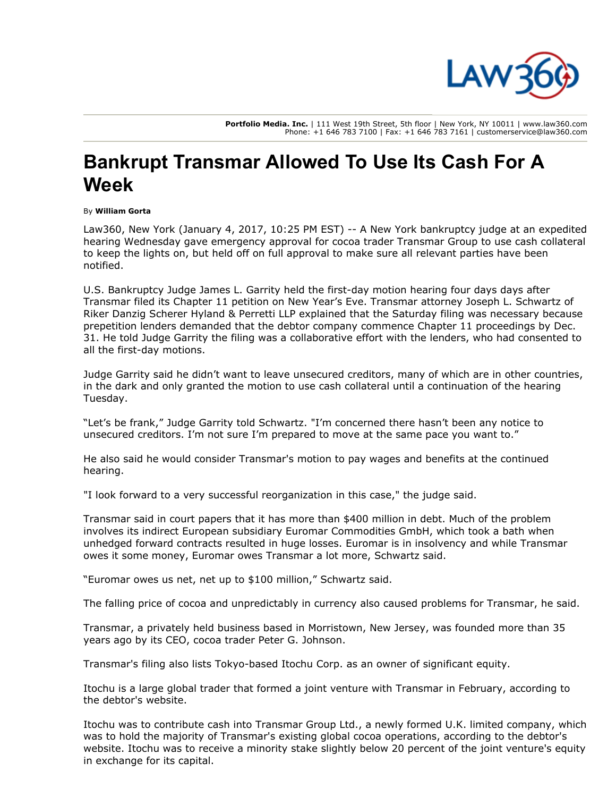

Portfolio Media. Inc. | 111 West 19th Street, 5th floor | New York, NY 10011 | www.law360.com Phone: +1 646 783 7100 | Fax: +1 646 783 7161 | customerservice@law360.com

## Bankrupt Transmar Allowed To Use Its Cash For A Week

## By William Gorta

Law360, New York (January 4, 2017, 10:25 PM EST) -- A New York bankruptcy judge at an expedited hearing Wednesday gave emergency approval for cocoa trader Transmar Group to use cash collateral to keep the lights on, but held off on full approval to make sure all relevant parties have been notified.

U.S. Bankruptcy Judge James L. Garrity held the first-day motion hearing four days days after Transmar filed its Chapter 11 petition on New Year's Eve. Transmar attorney Joseph L. Schwartz of [Riker Danzig Scherer Hyland & Perretti LLP](https://www.law360.com/firms/riker-danzig) explained that the Saturday filing was necessary because prepetition lenders demanded that the debtor company commence Chapter 11 proceedings by Dec. 31. He told Judge Garrity the filing was a collaborative effort with the lenders, who had consented to all the first-day motions.

Judge Garrity said he didn't want to leave unsecured creditors, many of which are in other countries, in the dark and only granted the motion to use cash collateral until a continuation of the hearing Tuesday.

"Let's be frank," Judge Garrity told Schwartz. "I'm concerned there hasn't been any notice to unsecured creditors. I'm not sure I'm prepared to move at the same pace you want to."

He also said he would consider Transmar's motion to pay wages and benefits at the continued hearing.

"I look forward to a very successful reorganization in this case," the judge said.

Transmar said in court papers that it has more than \$400 million in debt. Much of the problem involves its indirect European subsidiary Euromar Commodities GmbH, which took a bath when unhedged forward contracts resulted in huge losses. Euromar is in insolvency and while Transmar owes it some money, Euromar owes Transmar a lot more, Schwartz said.

"Euromar owes us net, net up to \$100 million," Schwartz said.

The falling price of cocoa and unpredictably in currency also caused problems for Transmar, he said.

Transmar, a privately held business based in Morristown, New Jersey, was founded more than 35 years ago by its CEO, cocoa trader Peter G. Johnson.

Transmar's filing also lists Tokyo-based [Itochu Corp](https://www.law360.com/companies/itochu-corporation). as an owner of significant equity.

Itochu is a large global trader that formed a joint venture with Transmar in February, according to the debtor's website.

Itochu was to contribute cash into Transmar Group Ltd., a newly formed U.K. limited company, which was to hold the majority of Transmar's existing global cocoa operations, according to the debtor's website. Itochu was to receive a minority stake slightly below 20 percent of the joint venture's equity in exchange for its capital.